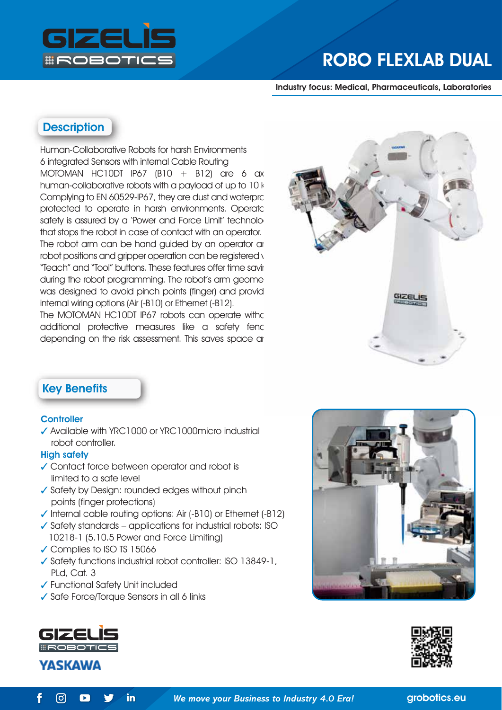

# ROBO FLEXLAB DUAL

Industry focus: Medical, Pharmaceuticals, Laboratories

## **Description**

Human-Collaborative Robots for harsh Environments 6 integrated Sensors with internal Cable Routing MOTOMAN HC10DT IP67  $(B10 + B12)$  are 6 ax human-collaborative robots with a payload of up to 10 kg. Complying to EN 60529-IP67, they are dust and waterpro protected to operate in harsh environments. Operator safety is assured by a 'Power and Force Limit' technology that stops the robot in case of contact with an operator. The robot arm can be hand guided by an operator and robot positions and gripper operation can be registered v "Teach" and "Tool" buttons. These features offer time saving during the robot programming. The robot's arm geome was designed to avoid pinch points (finger) and provid internal wiring options (Air (-B10) or Ethernet (-B12).

The MOTOMAN HC10DT IP67 robots can operate with of additional protective measures like a safety fend depending on the risk assessment. This saves space and



## Key Benefits

#### **Controller**

✓ Available with YRC1000 or YRC1000micro industrial robot controller.

#### High safety

- ✓ Contact force between operator and robot is limited to a safe level
- ✓ Safety by Design: rounded edges without pinch points (finger protections)
- ✓ Internal cable routing options: Air (-B10) or Ethernet (-B12)
- $\checkmark$  Safety standards applications for industrial robots: ISO 10218-1 (5.10.5 Power and Force Limiting)
- ✓ Complies to ISO TS 15066
- ✓ Safety functions industrial robot controller: ISO 13849-1, PLd, Cat. 3
- ✓ Functional Safety Unit included
- ✓ Safe Force/Torque Sensors in all 6 links









 $\lbrack \odot \rbrack$